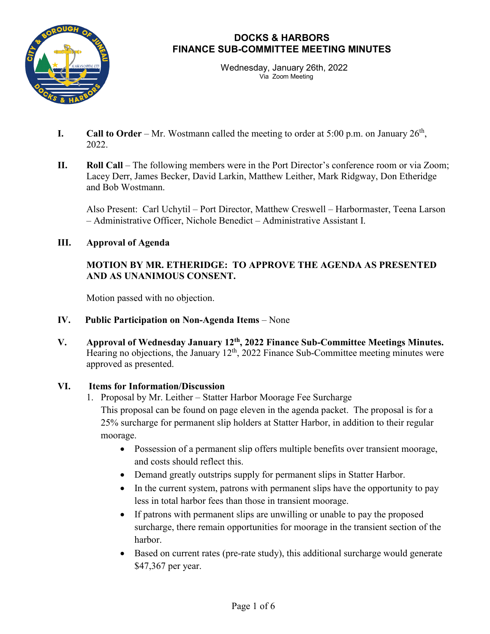

Wednesday, January 26th, 2022 Via Zoom Meeting

- **I.** Call to Order Mr. Wostmann called the meeting to order at  $5:00$  p.m. on January  $26<sup>th</sup>$ , 2022.
- **II. Roll Call** The following members were in the Port Director's conference room or via Zoom; Lacey Derr, James Becker, David Larkin, Matthew Leither, Mark Ridgway, Don Etheridge and Bob Wostmann.

Also Present: Carl Uchytil – Port Director, Matthew Creswell – Harbormaster, Teena Larson – Administrative Officer, Nichole Benedict – Administrative Assistant I.

## **III. Approval of Agenda**

# **MOTION BY MR. ETHERIDGE: TO APPROVE THE AGENDA AS PRESENTED AND AS UNANIMOUS CONSENT.**

Motion passed with no objection.

- **IV. Public Participation on Non-Agenda Items** None
- **V. Approval of Wednesday January 12th, 2022 Finance Sub-Committee Meetings Minutes.** Hearing no objections, the January  $12<sup>th</sup>$ , 2022 Finance Sub-Committee meeting minutes were approved as presented.

## **VI. Items for Information/Discussion**

- 1. Proposal by Mr. Leither Statter Harbor Moorage Fee Surcharge This proposal can be found on page eleven in the agenda packet. The proposal is for a 25% surcharge for permanent slip holders at Statter Harbor, in addition to their regular moorage.
	- Possession of a permanent slip offers multiple benefits over transient moorage, and costs should reflect this.
	- Demand greatly outstrips supply for permanent slips in Statter Harbor.
	- In the current system, patrons with permanent slips have the opportunity to pay less in total harbor fees than those in transient moorage.
	- If patrons with permanent slips are unwilling or unable to pay the proposed surcharge, there remain opportunities for moorage in the transient section of the harbor.
	- Based on current rates (pre-rate study), this additional surcharge would generate \$47,367 per year.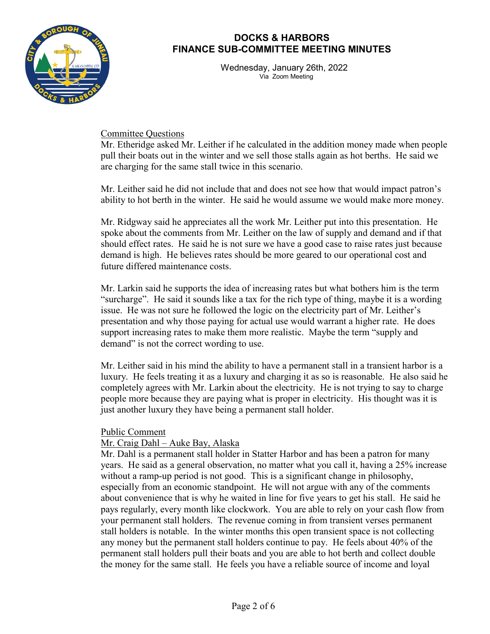

Wednesday, January 26th, 2022 Via Zoom Meeting

Committee Questions

Mr. Etheridge asked Mr. Leither if he calculated in the addition money made when people pull their boats out in the winter and we sell those stalls again as hot berths. He said we are charging for the same stall twice in this scenario.

Mr. Leither said he did not include that and does not see how that would impact patron's ability to hot berth in the winter. He said he would assume we would make more money.

Mr. Ridgway said he appreciates all the work Mr. Leither put into this presentation. He spoke about the comments from Mr. Leither on the law of supply and demand and if that should effect rates. He said he is not sure we have a good case to raise rates just because demand is high. He believes rates should be more geared to our operational cost and future differed maintenance costs.

Mr. Larkin said he supports the idea of increasing rates but what bothers him is the term "surcharge". He said it sounds like a tax for the rich type of thing, maybe it is a wording issue. He was not sure he followed the logic on the electricity part of Mr. Leither's presentation and why those paying for actual use would warrant a higher rate. He does support increasing rates to make them more realistic. Maybe the term "supply and demand" is not the correct wording to use.

Mr. Leither said in his mind the ability to have a permanent stall in a transient harbor is a luxury. He feels treating it as a luxury and charging it as so is reasonable. He also said he completely agrees with Mr. Larkin about the electricity. He is not trying to say to charge people more because they are paying what is proper in electricity. His thought was it is just another luxury they have being a permanent stall holder.

## Public Comment

## Mr. Craig Dahl – Auke Bay, Alaska

Mr. Dahl is a permanent stall holder in Statter Harbor and has been a patron for many years. He said as a general observation, no matter what you call it, having a 25% increase without a ramp-up period is not good. This is a significant change in philosophy, especially from an economic standpoint. He will not argue with any of the comments about convenience that is why he waited in line for five years to get his stall. He said he pays regularly, every month like clockwork. You are able to rely on your cash flow from your permanent stall holders. The revenue coming in from transient verses permanent stall holders is notable. In the winter months this open transient space is not collecting any money but the permanent stall holders continue to pay. He feels about 40% of the permanent stall holders pull their boats and you are able to hot berth and collect double the money for the same stall. He feels you have a reliable source of income and loyal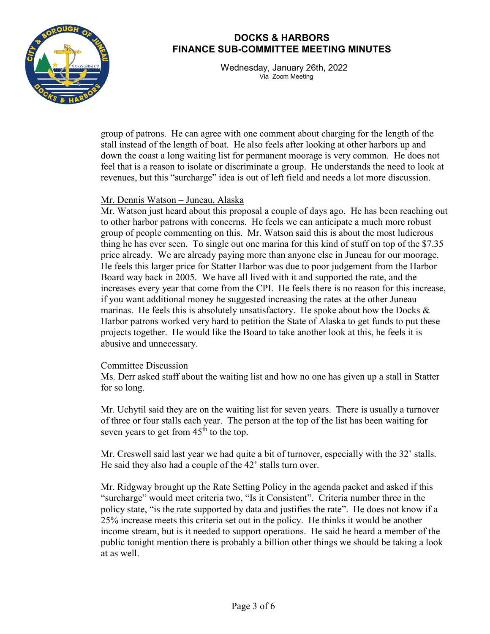

Wednesday, January 26th, 2022 Via Zoom Meeting

group of patrons. He can agree with one comment about charging for the length of the stall instead of the length of boat. He also feels after looking at other harbors up and down the coast a long waiting list for permanent moorage is very common. He does not feel that is a reason to isolate or discriminate a group. He understands the need to look at revenues, but this "surcharge" idea is out of left field and needs a lot more discussion.

#### Mr. Dennis Watson – Juneau, Alaska

Mr. Watson just heard about this proposal a couple of days ago. He has been reaching out to other harbor patrons with concerns. He feels we can anticipate a much more robust group of people commenting on this. Mr. Watson said this is about the most ludicrous thing he has ever seen. To single out one marina for this kind of stuff on top of the \$7.35 price already. We are already paying more than anyone else in Juneau for our moorage. He feels this larger price for Statter Harbor was due to poor judgement from the Harbor Board way back in 2005. We have all lived with it and supported the rate, and the increases every year that come from the CPI. He feels there is no reason for this increase, if you want additional money he suggested increasing the rates at the other Juneau marinas. He feels this is absolutely unsatisfactory. He spoke about how the Docks  $\&$ Harbor patrons worked very hard to petition the State of Alaska to get funds to put these projects together. He would like the Board to take another look at this, he feels it is abusive and unnecessary.

#### Committee Discussion

Ms. Derr asked staff about the waiting list and how no one has given up a stall in Statter for so long.

Mr. Uchytil said they are on the waiting list for seven years. There is usually a turnover of three or four stalls each year. The person at the top of the list has been waiting for seven years to get from  $45<sup>th</sup>$  to the top.

Mr. Creswell said last year we had quite a bit of turnover, especially with the 32' stalls. He said they also had a couple of the 42' stalls turn over.

Mr. Ridgway brought up the Rate Setting Policy in the agenda packet and asked if this "surcharge" would meet criteria two, "Is it Consistent". Criteria number three in the policy state, "is the rate supported by data and justifies the rate". He does not know if a 25% increase meets this criteria set out in the policy. He thinks it would be another income stream, but is it needed to support operations. He said he heard a member of the public tonight mention there is probably a billion other things we should be taking a look at as well.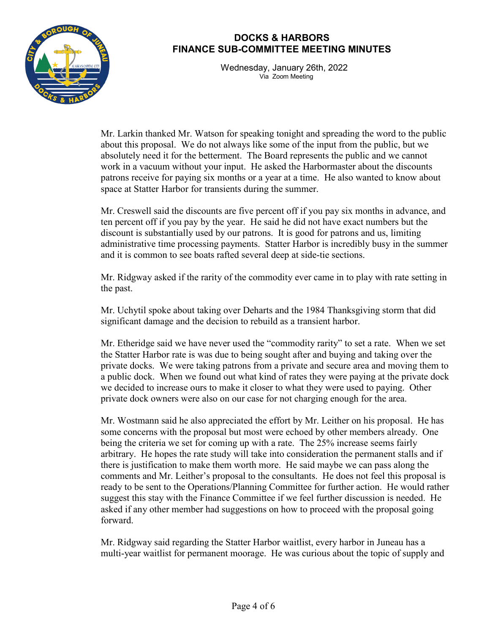

Wednesday, January 26th, 2022 Via Zoom Meeting

Mr. Larkin thanked Mr. Watson for speaking tonight and spreading the word to the public about this proposal. We do not always like some of the input from the public, but we absolutely need it for the betterment. The Board represents the public and we cannot work in a vacuum without your input. He asked the Harbormaster about the discounts patrons receive for paying six months or a year at a time. He also wanted to know about space at Statter Harbor for transients during the summer.

Mr. Creswell said the discounts are five percent off if you pay six months in advance, and ten percent off if you pay by the year. He said he did not have exact numbers but the discount is substantially used by our patrons. It is good for patrons and us, limiting administrative time processing payments. Statter Harbor is incredibly busy in the summer and it is common to see boats rafted several deep at side-tie sections.

Mr. Ridgway asked if the rarity of the commodity ever came in to play with rate setting in the past.

Mr. Uchytil spoke about taking over Deharts and the 1984 Thanksgiving storm that did significant damage and the decision to rebuild as a transient harbor.

Mr. Etheridge said we have never used the "commodity rarity" to set a rate. When we set the Statter Harbor rate is was due to being sought after and buying and taking over the private docks. We were taking patrons from a private and secure area and moving them to a public dock. When we found out what kind of rates they were paying at the private dock we decided to increase ours to make it closer to what they were used to paying. Other private dock owners were also on our case for not charging enough for the area.

Mr. Wostmann said he also appreciated the effort by Mr. Leither on his proposal. He has some concerns with the proposal but most were echoed by other members already. One being the criteria we set for coming up with a rate. The 25% increase seems fairly arbitrary. He hopes the rate study will take into consideration the permanent stalls and if there is justification to make them worth more. He said maybe we can pass along the comments and Mr. Leither's proposal to the consultants. He does not feel this proposal is ready to be sent to the Operations/Planning Committee for further action. He would rather suggest this stay with the Finance Committee if we feel further discussion is needed. He asked if any other member had suggestions on how to proceed with the proposal going forward.

Mr. Ridgway said regarding the Statter Harbor waitlist, every harbor in Juneau has a multi-year waitlist for permanent moorage. He was curious about the topic of supply and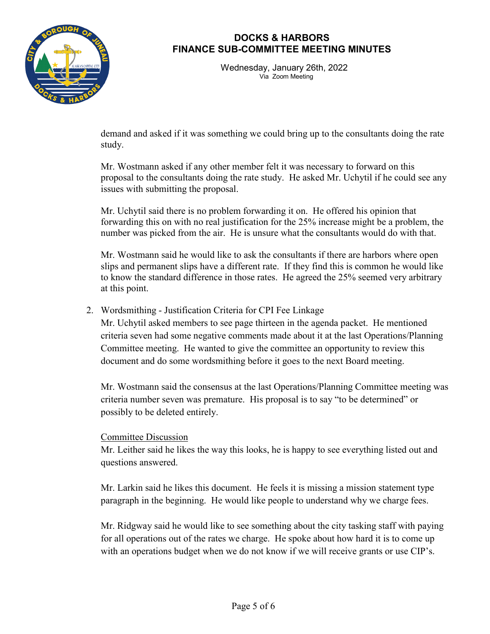

Wednesday, January 26th, 2022 Via Zoom Meeting

demand and asked if it was something we could bring up to the consultants doing the rate study.

Mr. Wostmann asked if any other member felt it was necessary to forward on this proposal to the consultants doing the rate study. He asked Mr. Uchytil if he could see any issues with submitting the proposal.

Mr. Uchytil said there is no problem forwarding it on. He offered his opinion that forwarding this on with no real justification for the 25% increase might be a problem, the number was picked from the air. He is unsure what the consultants would do with that.

Mr. Wostmann said he would like to ask the consultants if there are harbors where open slips and permanent slips have a different rate. If they find this is common he would like to know the standard difference in those rates. He agreed the 25% seemed very arbitrary at this point.

## 2. Wordsmithing - Justification Criteria for CPI Fee Linkage

Mr. Uchytil asked members to see page thirteen in the agenda packet. He mentioned criteria seven had some negative comments made about it at the last Operations/Planning Committee meeting. He wanted to give the committee an opportunity to review this document and do some wordsmithing before it goes to the next Board meeting.

Mr. Wostmann said the consensus at the last Operations/Planning Committee meeting was criteria number seven was premature. His proposal is to say "to be determined" or possibly to be deleted entirely.

#### Committee Discussion

Mr. Leither said he likes the way this looks, he is happy to see everything listed out and questions answered.

Mr. Larkin said he likes this document. He feels it is missing a mission statement type paragraph in the beginning. He would like people to understand why we charge fees.

Mr. Ridgway said he would like to see something about the city tasking staff with paying for all operations out of the rates we charge. He spoke about how hard it is to come up with an operations budget when we do not know if we will receive grants or use CIP's.